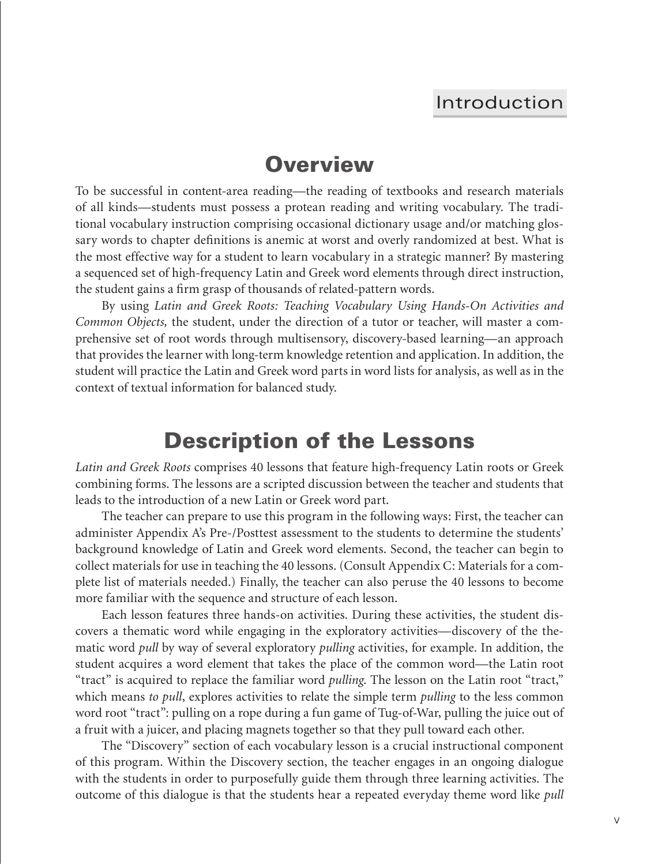#### Introduction

## **Overview**

To be successful in content-area reading—the reading of textbooks and research materials of all kinds—students must possess a protean reading and writing vocabulary. The traditional vocabulary instruction comprising occasional dictionary usage and/or matching glossary words to chapter definitions is anemic at worst and overly randomized at best. What is the most effective way for a student to learn vocabulary in a strategic manner? By mastering a sequenced set of high-frequency Latin and Greek word elements through direct instruction, the student gains a firm grasp of thousands of related-pattern words.

By using *Latin and Greek Roots: Teaching Vocabulary Using Hands-On Activities and Common Objects,* the student, under the direction of a tutor or teacher, will master a comprehensive set of root words through multisensory, discovery-based learning—an approach that provides the learner with long-term knowledge retention and application. In addition, the student will practice the Latin and Greek word parts in word lists for analysis, as well as in the context of textual information for balanced study.

## **Description of the Lessons**

*Latin and Greek Roots* comprises 40 lessons that feature high-frequency Latin roots or Greek combining forms. The lessons are a scripted discussion between the teacher and students that leads to the introduction of a new Latin or Greek word part.

The teacher can prepare to use this program in the following ways: First, the teacher can administer Appendix A's Pre-/Posttest assessment to the students to determine the students' background knowledge of Latin and Greek word elements. Second, the teacher can begin to collect materials for use in teaching the 40 lessons. (Consult Appendix C: Materials for a complete list of materials needed.) Finally, the teacher can also peruse the 40 lessons to become more familiar with the sequence and structure of each lesson.

Each lesson features three hands-on activities. During these activities, the student discovers a thematic word while engaging in the exploratory activities—discovery of the thematic word *pull* by way of several exploratory *pulling* activities, for example. In addition, the student acquires a word element that takes the place of the common word—the Latin root "tract" is acquired to replace the familiar word *pulling*. The lesson on the Latin root "tract," which means *to pull*, explores activities to relate the simple term *pulling* to the less common word root "tract": pulling on a rope during a fun game of Tug-of-War, pulling the juice out of a fruit with a juicer, and placing magnets together so that they pull toward each other.

The "Discovery" section of each vocabulary lesson is a crucial instructional component of this program. Within the Discovery section, the teacher engages in an ongoing dialogue with the students in order to purposefully guide them through three learning activities. The outcome of this dialogue is that the students hear a repeated everyday theme word like *pull*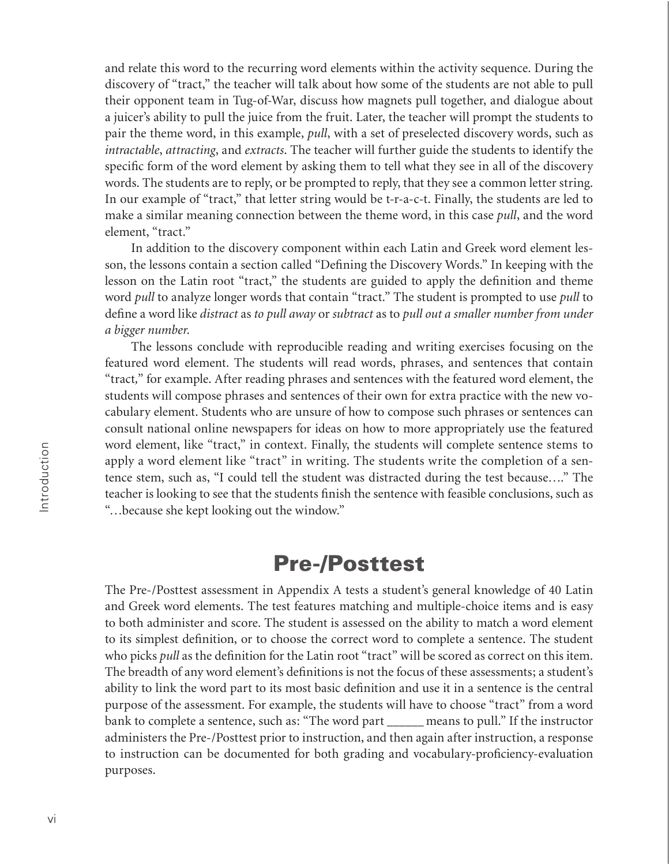and relate this word to the recurring word elements within the activity sequence. During the discovery of "tract," the teacher will talk about how some of the students are not able to pull their opponent team in Tug-of-War, discuss how magnets pull together, and dialogue about a juicer's ability to pull the juice from the fruit. Later, the teacher will prompt the students to pair the theme word, in this example, *pull*, with a set of preselected discovery words, such as *intractable*, *attracting*, and *extracts*. The teacher will further guide the students to identify the specific form of the word element by asking them to tell what they see in all of the discovery words. The students are to reply, or be prompted to reply, that they see a common letter string. In our example of "tract," that letter string would be t-r-a-c-t. Finally, the students are led to make a similar meaning connection between the theme word, in this case *pull*, and the word element, "tract."

In addition to the discovery component within each Latin and Greek word element lesson, the lessons contain a section called "Defining the Discovery Words." In keeping with the lesson on the Latin root "tract," the students are guided to apply the definition and theme word *pull* to analyze longer words that contain "tract." The student is prompted to use *pull* to define a word like *distract* as *to pull away* or *subtract* as to pull out a smaller number from under *a bigger number*.

The lessons conclude with reproducible reading and writing exercises focusing on the featured word element. The students will read words, phrases, and sentences that contain "tract*,*" for example. After reading phrases and sentences with the featured word element, the students will compose phrases and sentences of their own for extra practice with the new vocabulary element. Students who are unsure of how to compose such phrases or sentences can consult national online newspapers for ideas on how to more appropriately use the featured word element, like "tract," in context. Finally, the students will complete sentence stems to apply a word element like "tract" in writing. The students write the completion of a sentence stem, such as, "I could tell the student was distracted during the test because…." The teacher is looking to see that the students finish the sentence with feasible conclusions, such as "…because she kept looking out the window."

#### **Pre-/Posttest**

The Pre-/Posttest assessment in Appendix A tests a student's general knowledge of 40 Latin and Greek word elements. The test features matching and multiple-choice items and is easy to both administer and score. The student is assessed on the ability to match a word element to its simplest definition, or to choose the correct word to complete a sentence. The student who picks *pull* as the definition for the Latin root "tract" will be scored as correct on this item. The breadth of any word element's definitions is not the focus of these assessments; a student's ability to link the word part to its most basic definition and use it in a sentence is the central purpose of the assessment. For example, the students will have to choose "tract" from a word bank to complete a sentence, such as: "The word part \_\_\_\_\_\_ means to pull." If the instructor administers the Pre-/Posttest prior to instruction, and then again after instruction, a response to instruction can be documented for both grading and vocabulary-proficiency-evaluation purposes.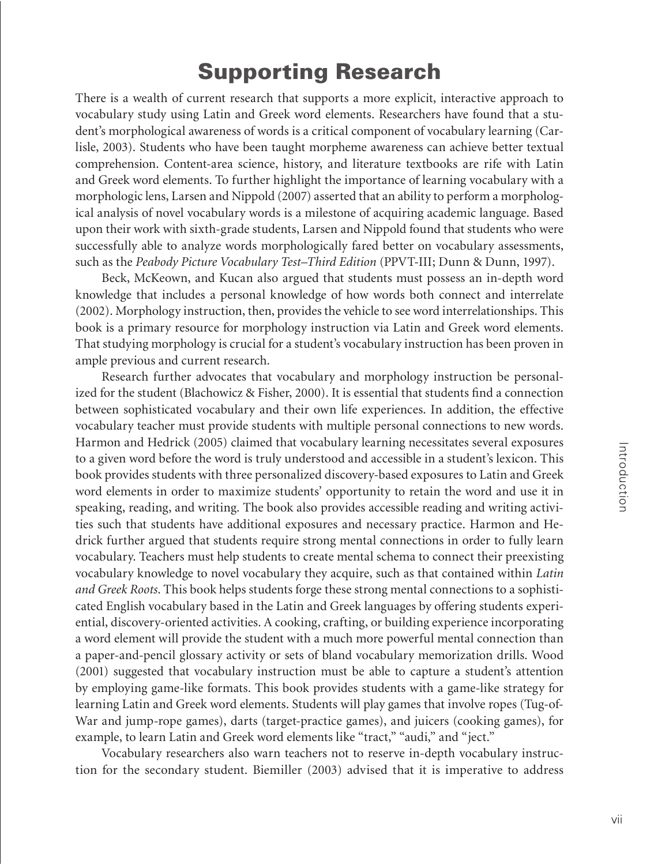# **Supporting Research**

There is a wealth of current research that supports a more explicit, interactive approach to vocabulary study using Latin and Greek word elements. Researchers have found that a student's morphological awareness of words is a critical component of vocabulary learning (Carlisle, 2003). Students who have been taught morpheme awareness can achieve better textual comprehension. Content-area science, history, and literature textbooks are rife with Latin and Greek word elements. To further highlight the importance of learning vocabulary with a morphologic lens, Larsen and Nippold (2007) asserted that an ability to perform a morphological analysis of novel vocabulary words is a milestone of acquiring academic language. Based upon their work with sixth-grade students, Larsen and Nippold found that students who were successfully able to analyze words morphologically fared better on vocabulary assessments, such as the *Peabody Picture Vocabulary Test*–*Third Edition* (PPVT-III; Dunn & Dunn, 1997).

Beck, McKeown, and Kucan also argued that students must possess an in-depth word knowledge that includes a personal knowledge of how words both connect and interrelate (2002). Morphology instruction, then, provides the vehicle to see word interrelationships. This book is a primary resource for morphology instruction via Latin and Greek word elements. That studying morphology is crucial for a student's vocabulary instruction has been proven in ample previous and current research.

Research further advocates that vocabulary and morphology instruction be personalized for the student (Blachowicz & Fisher, 2000). It is essential that students find a connection between sophisticated vocabulary and their own life experiences. In addition, the effective vocabulary teacher must provide students with multiple personal connections to new words. Harmon and Hedrick (2005) claimed that vocabulary learning necessitates several exposures to a given word before the word is truly understood and accessible in a student's lexicon. This book provides students with three personalized discovery-based exposures to Latin and Greek word elements in order to maximize students' opportunity to retain the word and use it in speaking, reading, and writing. The book also provides accessible reading and writing activities such that students have additional exposures and necessary practice. Harmon and Hedrick further argued that students require strong mental connections in order to fully learn vocabulary. Teachers must help students to create mental schema to connect their preexisting vocabulary knowledge to novel vocabulary they acquire, such as that contained within *Latin and Greek Roots*. This book helps students forge these strong mental connections to a sophisticated English vocabulary based in the Latin and Greek languages by offering students experiential, discovery-oriented activities. A cooking, crafting, or building experience incorporating a word element will provide the student with a much more powerful mental connection than a paper-and-pencil glossary activity or sets of bland vocabulary memorization drills. Wood (2001) suggested that vocabulary instruction must be able to capture a student's attention by employing game-like formats. This book provides students with a game-like strategy for learning Latin and Greek word elements. Students will play games that involve ropes (Tug-of-War and jump-rope games), darts (target-practice games), and juicers (cooking games), for example, to learn Latin and Greek word elements like "tract," "audi," and "ject."

Vocabulary researchers also warn teachers not to reserve in-depth vocabulary instruction for the secondary student. Biemiller (2003) advised that it is imperative to address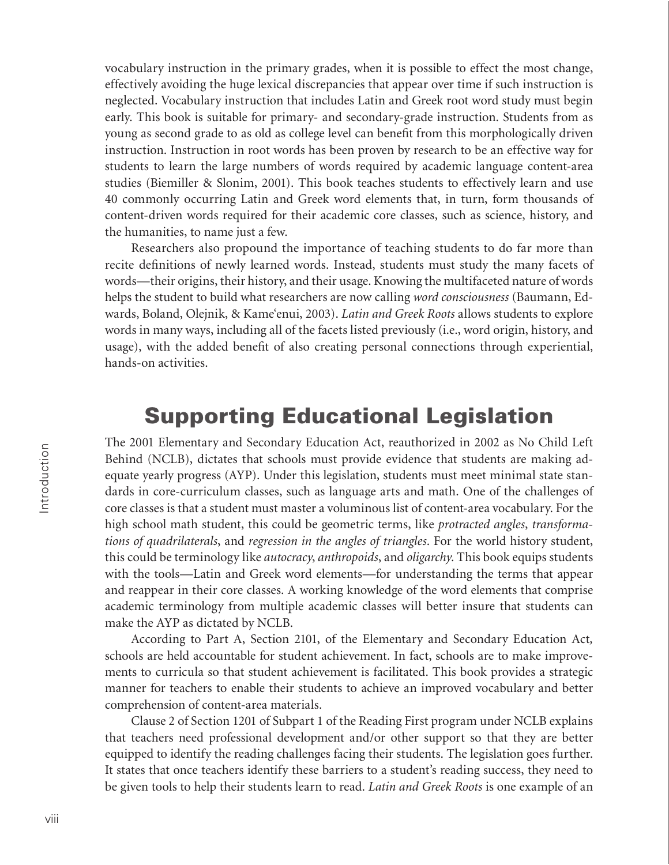vocabulary instruction in the primary grades, when it is possible to effect the most change, effectively avoiding the huge lexical discrepancies that appear over time if such instruction is neglected. Vocabulary instruction that includes Latin and Greek root word study must begin early. This book is suitable for primary- and secondary-grade instruction. Students from as young as second grade to as old as college level can benefit from this morphologically driven instruction. Instruction in root words has been proven by research to be an effective way for students to learn the large numbers of words required by academic language content-area studies (Biemiller & Slonim, 2001). This book teaches students to effectively learn and use 40 commonly occurring Latin and Greek word elements that, in turn, form thousands of content-driven words required for their academic core classes, such as science, history, and the humanities, to name just a few.

Researchers also propound the importance of teaching students to do far more than recite definitions of newly learned words. Instead, students must study the many facets of words—their origins, their history, and their usage. Knowing the multifaceted nature of words helps the student to build what researchers are now calling *word consciousness* (Baumann, Edwards, Boland, Olejnik, & Kame'enui, 2003). *Latin and Greek Roots* allows students to explore words in many ways, including all of the facets listed previously (i.e., word origin, history, and usage), with the added benefit of also creating personal connections through experiential, hands-on activities.

# **Supporting Educational Legislation**

The 2001 Elementary and Secondary Education Act, reauthorized in 2002 as No Child Left Behind (NCLB), dictates that schools must provide evidence that students are making adequate yearly progress (AYP). Under this legislation, students must meet minimal state standards in core-curriculum classes, such as language arts and math. One of the challenges of core classes is that a student must master a voluminous list of content-area vocabulary. For the high school math student, this could be geometric terms, like *protracted angles*, *transformations of quadrilaterals*, and *regression in the angles of triangles*. For the world history student, this could be terminology like *autocracy*, *anthropoids*, and *oligarchy*. This book equips students with the tools—Latin and Greek word elements—for understanding the terms that appear and reappear in their core classes. A working knowledge of the word elements that comprise academic terminology from multiple academic classes will better insure that students can make the AYP as dictated by NCLB.

According to Part A, Section 2101, of the Elementary and Secondary Education Act*,*  schools are held accountable for student achievement. In fact, schools are to make improvements to curricula so that student achievement is facilitated. This book provides a strategic manner for teachers to enable their students to achieve an improved vocabulary and better comprehension of content-area materials.

Clause 2 of Section 1201 of Subpart 1 of the Reading First program under NCLB explains that teachers need professional development and/or other support so that they are better equipped to identify the reading challenges facing their students. The legislation goes further. It states that once teachers identify these barriers to a student's reading success, they need to be given tools to help their students learn to read. *Latin and Greek Roots* is one example of an